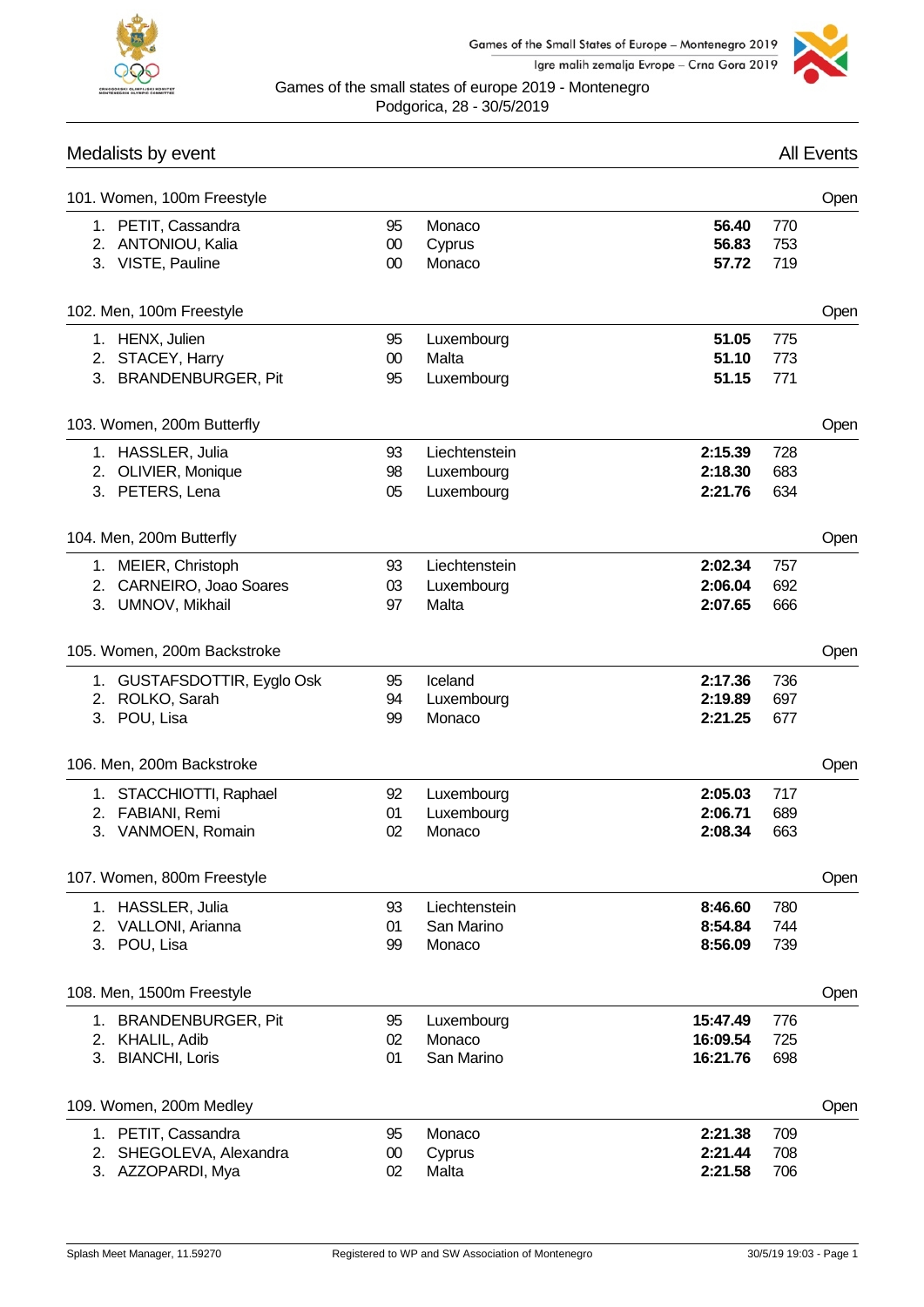



Games of the small states of europe 2019 - Montenegro Podgorica, 28 - 30/5/2019

## Medalists by event **All Events** All Events

| 101. Women, 100m Freestyle  |        |               |          |     | Open |
|-----------------------------|--------|---------------|----------|-----|------|
| 1. PETIT, Cassandra         | 95     | Monaco        | 56.40    | 770 |      |
| 2. ANTONIOU, Kalia          | $00\,$ | Cyprus        | 56.83    | 753 |      |
| 3. VISTE, Pauline           | $00\,$ | Monaco        | 57.72    | 719 |      |
|                             |        |               |          |     |      |
| 102. Men, 100m Freestyle    |        |               |          |     | Open |
| 1. HENX, Julien             | 95     | Luxembourg    | 51.05    | 775 |      |
| 2. STACEY, Harry            | $00\,$ | Malta         | 51.10    | 773 |      |
| 3. BRANDENBURGER, Pit       | 95     | Luxembourg    | 51.15    | 771 |      |
| 103. Women, 200m Butterfly  |        |               |          |     | Open |
| 1. HASSLER, Julia           | 93     | Liechtenstein | 2:15.39  | 728 |      |
| 2. OLIVIER, Monique         | 98     | Luxembourg    | 2:18.30  | 683 |      |
| 3. PETERS, Lena             | 05     | Luxembourg    | 2:21.76  | 634 |      |
|                             |        |               |          |     |      |
| 104. Men, 200m Butterfly    |        |               |          |     | Open |
| 1. MEIER, Christoph         | 93     | Liechtenstein | 2:02.34  | 757 |      |
| 2. CARNEIRO, Joao Soares    | 03     | Luxembourg    | 2:06.04  | 692 |      |
| 3. UMNOV, Mikhail           | 97     | Malta         | 2:07.65  | 666 |      |
|                             |        |               |          |     |      |
| 105. Women, 200m Backstroke |        |               |          |     | Open |
| 1. GUSTAFSDOTTIR, Eyglo Osk | 95     | Iceland       | 2:17.36  | 736 |      |
| 2. ROLKO, Sarah             | 94     | Luxembourg    | 2:19.89  | 697 |      |
| 3. POU, Lisa                | 99     | Monaco        | 2:21.25  | 677 |      |
| 106. Men, 200m Backstroke   |        |               |          |     | Open |
|                             |        |               |          |     |      |
| 1. STACCHIOTTI, Raphael     | 92     | Luxembourg    | 2:05.03  | 717 |      |
| 2. FABIANI, Remi            | 01     | Luxembourg    | 2:06.71  | 689 |      |
| 3. VANMOEN, Romain          | 02     | Monaco        | 2:08.34  | 663 |      |
| 107. Women, 800m Freestyle  |        |               |          |     | Open |
| 1. HASSLER, Julia           | 93     | Liechtenstein | 8:46.60  | 780 |      |
| 2. VALLONI, Arianna         | 01     | San Marino    | 8:54.84  | 744 |      |
| 3. POU, Lisa                | 99     | Monaco        | 8:56.09  | 739 |      |
|                             |        |               |          |     |      |
| 108. Men, 1500m Freestyle   |        |               |          |     | Open |
| 1. BRANDENBURGER, Pit       | 95     | Luxembourg    | 15:47.49 | 776 |      |
| 2. KHALIL, Adib             | 02     | Monaco        | 16:09.54 | 725 |      |
| 3. BIANCHI, Loris           | 01     | San Marino    | 16:21.76 | 698 |      |
| 109. Women, 200m Medley     |        |               |          |     | Open |
| 1. PETIT, Cassandra         | 95     | Monaco        | 2:21.38  | 709 |      |
| SHEGOLEVA, Alexandra<br>2.  | $00\,$ | Cyprus        | 2:21.44  | 708 |      |
| 3. AZZOPARDI, Mya           | 02     | Malta         | 2:21.58  | 706 |      |
|                             |        |               |          |     |      |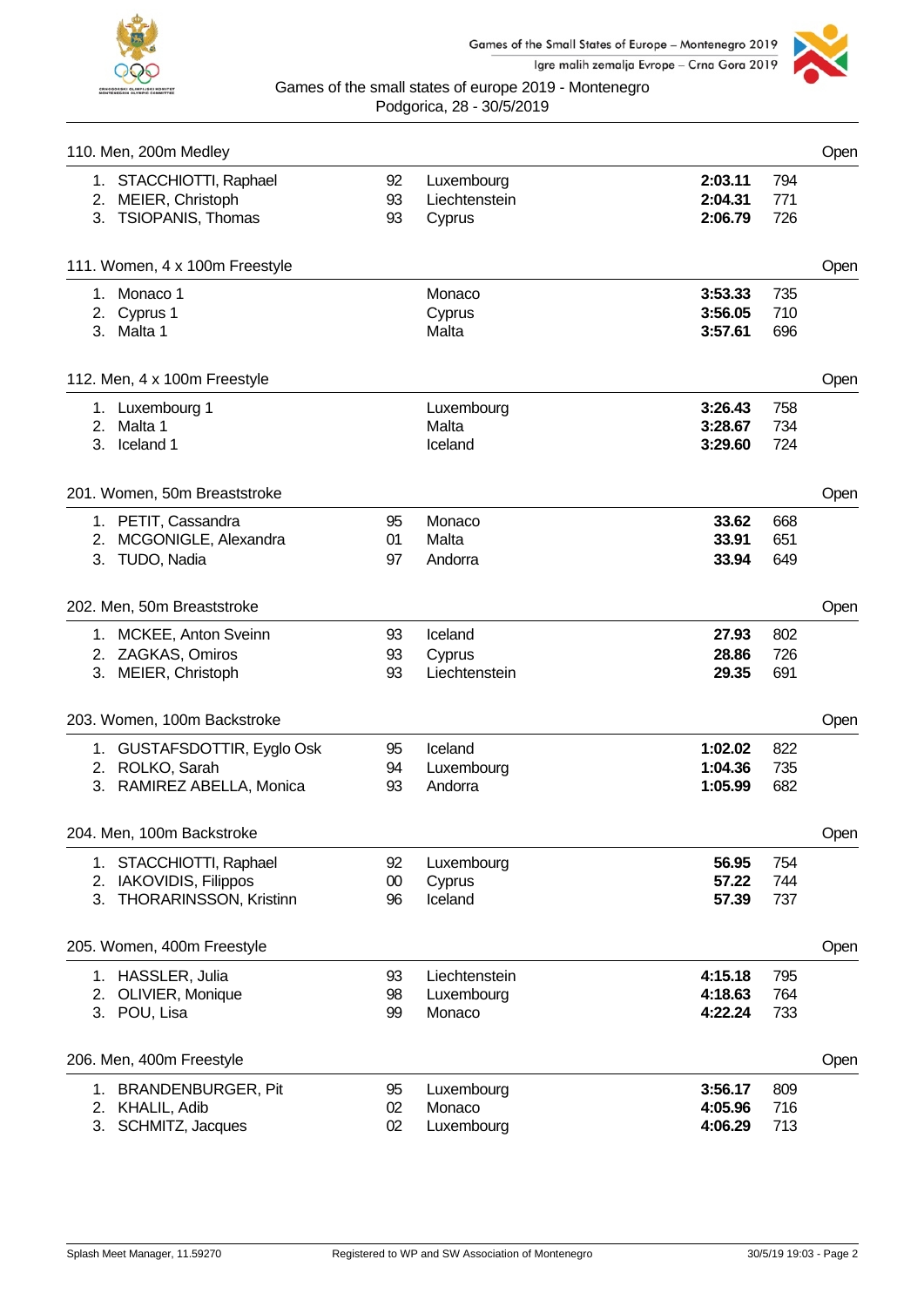



|    | 110. Men, 200m Medley          |        |               |         |     | Open |
|----|--------------------------------|--------|---------------|---------|-----|------|
|    | 1. STACCHIOTTI, Raphael        | 92     | Luxembourg    | 2:03.11 | 794 |      |
|    | 2. MEIER, Christoph            | 93     | Liechtenstein | 2:04.31 | 771 |      |
|    | 3. TSIOPANIS, Thomas           | 93     | Cyprus        | 2:06.79 | 726 |      |
|    | 111. Women, 4 x 100m Freestyle |        |               |         |     | Open |
|    | 1. Monaco 1                    |        | Monaco        | 3:53.33 | 735 |      |
|    | 2. Cyprus 1                    |        | Cyprus        | 3:56.05 | 710 |      |
|    | 3. Malta 1                     |        | Malta         | 3:57.61 | 696 |      |
|    | 112. Men, 4 x 100m Freestyle   |        |               |         |     | Open |
|    | 1. Luxembourg 1                |        | Luxembourg    | 3:26.43 | 758 |      |
|    | 2. Malta 1                     |        | Malta         | 3:28.67 | 734 |      |
|    | 3. Iceland 1                   |        | Iceland       | 3:29.60 | 724 |      |
|    | 201. Women, 50m Breaststroke   |        |               |         |     | Open |
|    | 1. PETIT, Cassandra            | 95     | Monaco        | 33.62   | 668 |      |
|    | 2. MCGONIGLE, Alexandra        | 01     | Malta         | 33.91   | 651 |      |
|    | 3. TUDO, Nadia                 | 97     | Andorra       | 33.94   | 649 |      |
|    | 202. Men, 50m Breaststroke     |        |               |         |     | Open |
|    | 1. MCKEE, Anton Sveinn         | 93     | Iceland       | 27.93   | 802 |      |
|    | 2. ZAGKAS, Omiros              | 93     | Cyprus        | 28.86   | 726 |      |
|    | 3. MEIER, Christoph            | 93     | Liechtenstein | 29.35   | 691 |      |
|    | 203. Women, 100m Backstroke    |        |               |         |     | Open |
|    | 1. GUSTAFSDOTTIR, Eyglo Osk    | 95     | Iceland       | 1:02.02 | 822 |      |
|    | 2. ROLKO, Sarah                | 94     | Luxembourg    | 1:04.36 | 735 |      |
|    | 3. RAMIREZ ABELLA, Monica      | 93     | Andorra       | 1:05.99 | 682 |      |
|    | 204. Men, 100m Backstroke      |        |               |         |     | Open |
|    | 1. STACCHIOTTI, Raphael        | 92     | Luxembourg    | 56.95   | 754 |      |
|    | 2. IAKOVIDIS, Filippos         | $00\,$ | Cyprus        | 57.22   | 744 |      |
| 3. | <b>THORARINSSON, Kristinn</b>  | 96     | Iceland       | 57.39   | 737 |      |
|    | 205. Women, 400m Freestyle     |        |               |         |     | Open |
|    | 1. HASSLER, Julia              | 93     | Liechtenstein | 4:15.18 | 795 |      |
|    | 2. OLIVIER, Monique            | 98     | Luxembourg    | 4:18.63 | 764 |      |
|    | 3. POU, Lisa                   | 99     | Monaco        | 4:22.24 | 733 |      |
|    | 206. Men, 400m Freestyle       |        |               |         |     | Open |
|    | 1. BRANDENBURGER, Pit          | 95     | Luxembourg    | 3:56.17 | 809 |      |
|    | 2. KHALIL, Adib                | 02     | Monaco        | 4:05.96 | 716 |      |
|    | 3. SCHMITZ, Jacques            | 02     | Luxembourg    | 4:06.29 | 713 |      |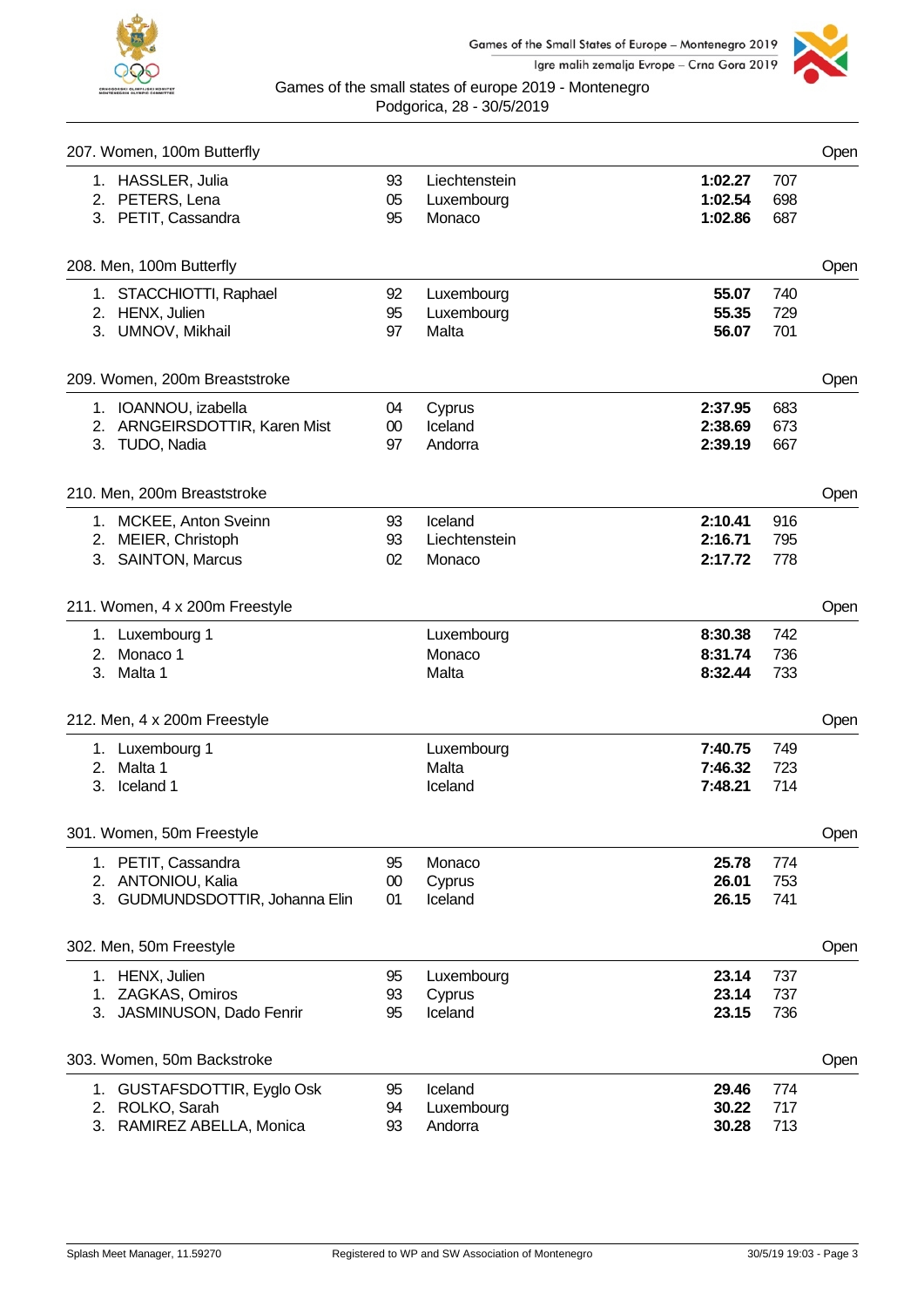



|    | 207. Women, 100m Butterfly           |          |                             |                    |            | Open |
|----|--------------------------------------|----------|-----------------------------|--------------------|------------|------|
|    | 1. HASSLER, Julia<br>2. PETERS, Lena | 93<br>05 | Liechtenstein<br>Luxembourg | 1:02.27<br>1:02.54 | 707<br>698 |      |
|    | 3. PETIT, Cassandra                  | 95       | Monaco                      | 1:02.86            | 687        |      |
|    | 208. Men, 100m Butterfly             |          |                             |                    |            | Open |
|    | 1. STACCHIOTTI, Raphael              | 92       | Luxembourg                  | 55.07              | 740        |      |
|    | 2. HENX, Julien                      | 95       | Luxembourg                  | 55.35              | 729        |      |
|    | 3. UMNOV, Mikhail                    | 97       | Malta                       | 56.07              | 701        |      |
|    | 209. Women, 200m Breaststroke        |          |                             |                    |            | Open |
|    | 1. IOANNOU, izabella                 | 04       | Cyprus                      | 2:37.95            | 683        |      |
|    | 2. ARNGEIRSDOTTIR, Karen Mist        | $00\,$   | Iceland                     | 2:38.69            | 673        |      |
|    | 3. TUDO, Nadia                       | 97       | Andorra                     | 2:39.19            | 667        |      |
|    | 210. Men, 200m Breaststroke          |          |                             |                    |            | Open |
|    | 1. MCKEE, Anton Sveinn               | 93       | Iceland                     | 2:10.41            | 916        |      |
|    | 2. MEIER, Christoph                  | 93       | Liechtenstein               | 2:16.71            | 795        |      |
|    | 3. SAINTON, Marcus                   | 02       | Monaco                      | 2:17.72            | 778        |      |
|    | 211. Women, 4 x 200m Freestyle       |          |                             |                    |            | Open |
|    | 1. Luxembourg 1                      |          | Luxembourg                  | 8:30.38            | 742        |      |
|    | 2. Monaco 1                          |          | Monaco                      | 8:31.74            | 736        |      |
|    | 3. Malta 1                           |          | Malta                       | 8:32.44            | 733        |      |
|    | 212. Men, 4 x 200m Freestyle         |          |                             |                    |            | Open |
|    | 1. Luxembourg 1                      |          | Luxembourg                  | 7:40.75            | 749        |      |
|    | 2. Malta 1                           |          | Malta                       | 7:46.32            | 723        |      |
| 3. | Iceland 1                            |          | Iceland                     | 7:48.21            | 714        |      |
|    | 301. Women, 50m Freestyle            |          |                             |                    |            | Open |
|    | 1. PETIT, Cassandra                  | 95       | Monaco                      | 25.78              | 774        |      |
|    | 2. ANTONIOU, Kalia                   | $00\,$   | Cyprus                      | 26.01              | 753        |      |
|    | 3. GUDMUNDSDOTTIR, Johanna Elin      | 01       | Iceland                     | 26.15              | 741        |      |
|    | 302. Men, 50m Freestyle              |          |                             |                    |            | Open |
|    | 1. HENX, Julien                      | 95       | Luxembourg                  | 23.14              | 737        |      |
|    | 1. ZAGKAS, Omiros                    | 93       | Cyprus                      | 23.14              | 737        |      |
|    | 3. JASMINUSON, Dado Fenrir           | 95       | Iceland                     | 23.15              | 736        |      |
|    | 303. Women, 50m Backstroke           |          |                             |                    |            | Open |
|    | 1. GUSTAFSDOTTIR, Eyglo Osk          | 95       | Iceland                     | 29.46              | 774        |      |
|    | 2. ROLKO, Sarah                      | 94       | Luxembourg                  | 30.22              | 717        |      |
| 3. | RAMIREZ ABELLA, Monica               | 93       | Andorra                     | 30.28              | 713        |      |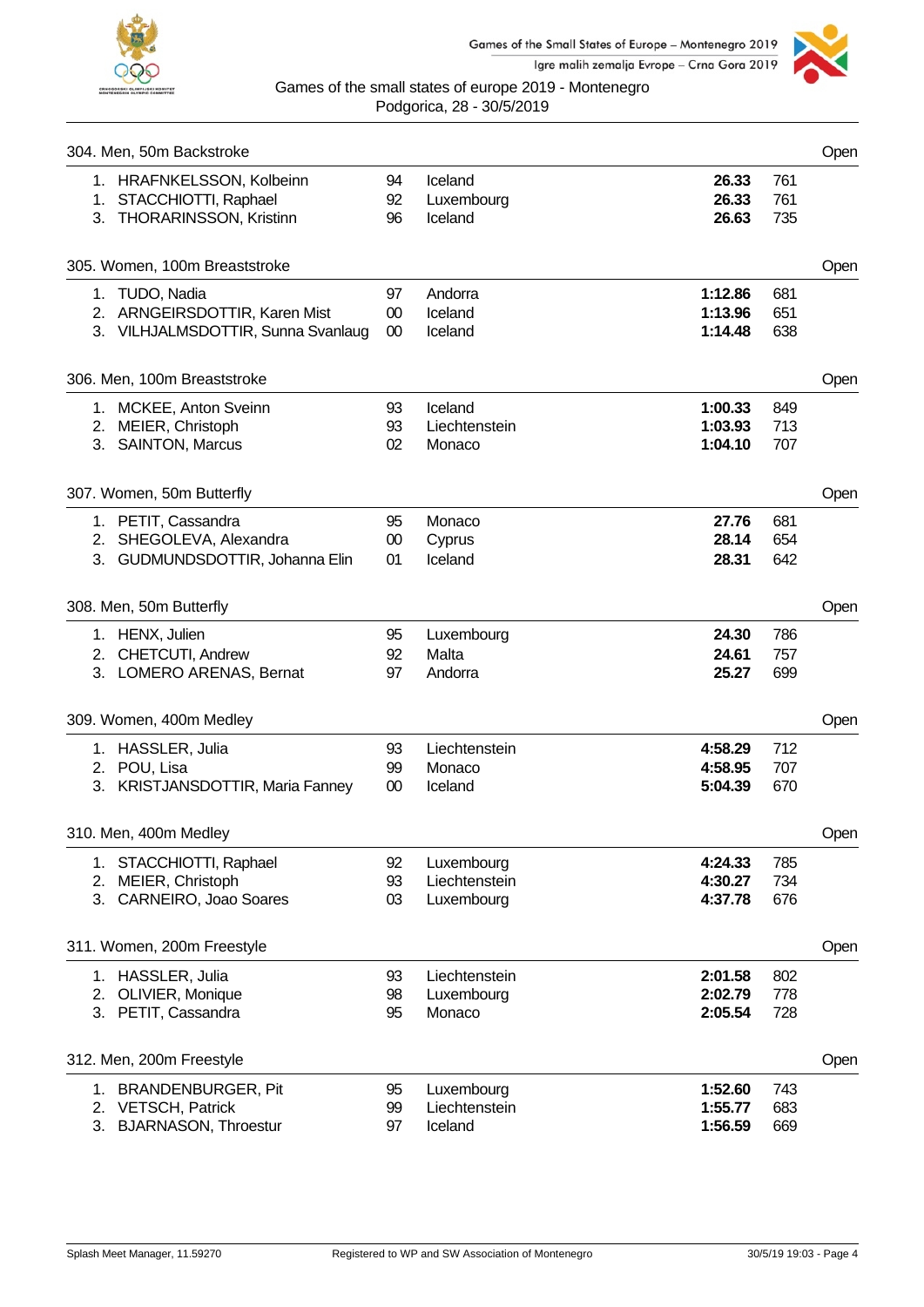



|    | 304. Men, 50m Backstroke                                                              |                |                                  |                               |                   | Open |
|----|---------------------------------------------------------------------------------------|----------------|----------------------------------|-------------------------------|-------------------|------|
|    | 1. HRAFNKELSSON, Kolbeinn<br>1. STACCHIOTTI, Raphael<br>3. THORARINSSON, Kristinn     | 94<br>92<br>96 | Iceland<br>Luxembourg<br>Iceland | 26.33<br>26.33<br>26.63       | 761<br>761<br>735 |      |
|    | 305. Women, 100m Breaststroke                                                         |                |                                  |                               |                   | Open |
|    | 1. TUDO, Nadia<br>2. ARNGEIRSDOTTIR, Karen Mist<br>3. VILHJALMSDOTTIR, Sunna Svanlaug | 97<br>00<br>00 | Andorra<br>Iceland<br>Iceland    | 1:12.86<br>1:13.96<br>1:14.48 | 681<br>651<br>638 |      |
|    |                                                                                       |                |                                  |                               |                   |      |
|    | 306. Men, 100m Breaststroke                                                           |                |                                  |                               |                   | Open |
|    | 1. MCKEE, Anton Sveinn                                                                | 93             | Iceland                          | 1:00.33                       | 849               |      |
|    | 2. MEIER, Christoph                                                                   | 93             | Liechtenstein                    | 1:03.93<br>1:04.10            | 713               |      |
|    | 3. SAINTON, Marcus                                                                    | 02             | Monaco                           |                               | 707               |      |
|    | 307. Women, 50m Butterfly                                                             |                |                                  |                               |                   | Open |
|    | 1. PETIT, Cassandra                                                                   | 95             | Monaco                           | 27.76                         | 681               |      |
|    | 2. SHEGOLEVA, Alexandra                                                               | 00             | Cyprus                           | 28.14                         | 654               |      |
|    | 3. GUDMUNDSDOTTIR, Johanna Elin                                                       | 01             | Iceland                          | 28.31                         | 642               |      |
|    | 308. Men, 50m Butterfly                                                               |                |                                  |                               |                   | Open |
|    | 1. HENX, Julien                                                                       | 95             | Luxembourg                       | 24.30                         | 786               |      |
|    | 2. CHETCUTI, Andrew                                                                   | 92             | Malta                            | 24.61                         | 757               |      |
|    | 3. LOMERO ARENAS, Bernat                                                              | 97             | Andorra                          | 25.27                         | 699               |      |
|    | 309. Women, 400m Medley                                                               |                |                                  |                               |                   | Open |
|    | 1. HASSLER, Julia                                                                     | 93             | Liechtenstein                    | 4:58.29                       | 712               |      |
|    | 2. POU, Lisa                                                                          | 99             | Monaco                           | 4:58.95                       | 707               |      |
|    | 3. KRISTJANSDOTTIR, Maria Fanney                                                      | 00             | Iceland                          | 5:04.39                       | 670               |      |
|    | 310. Men, 400m Medley                                                                 |                |                                  |                               |                   | Open |
|    | 1. STACCHIOTTI, Raphael                                                               | 92             | Luxembourg                       | 4:24.33                       | 785               |      |
|    | 2. MEIER, Christoph                                                                   | 93             | Liechtenstein                    | 4:30.27                       | 734               |      |
|    | 3. CARNEIRO, Joao Soares                                                              | 03             | Luxembourg                       | 4:37.78                       | 676               |      |
|    | 311. Women, 200m Freestyle                                                            |                |                                  |                               |                   | Open |
|    | 1. HASSLER, Julia                                                                     | 93             | Liechtenstein                    | 2:01.58                       | 802               |      |
|    | 2. OLIVIER, Monique                                                                   | 98             | Luxembourg                       | 2:02.79                       | 778               |      |
|    | 3. PETIT, Cassandra                                                                   | 95             | Monaco                           | 2:05.54                       | 728               |      |
|    | 312. Men, 200m Freestyle                                                              |                |                                  |                               |                   | Open |
| 1. | <b>BRANDENBURGER, Pit</b>                                                             | 95             | Luxembourg                       | 1:52.60                       | 743               |      |
|    | 2. VETSCH, Patrick                                                                    | 99             | Liechtenstein                    | 1:55.77                       | 683               |      |
| 3. | <b>BJARNASON, Throestur</b>                                                           | 97             | Iceland                          | 1:56.59                       | 669               |      |